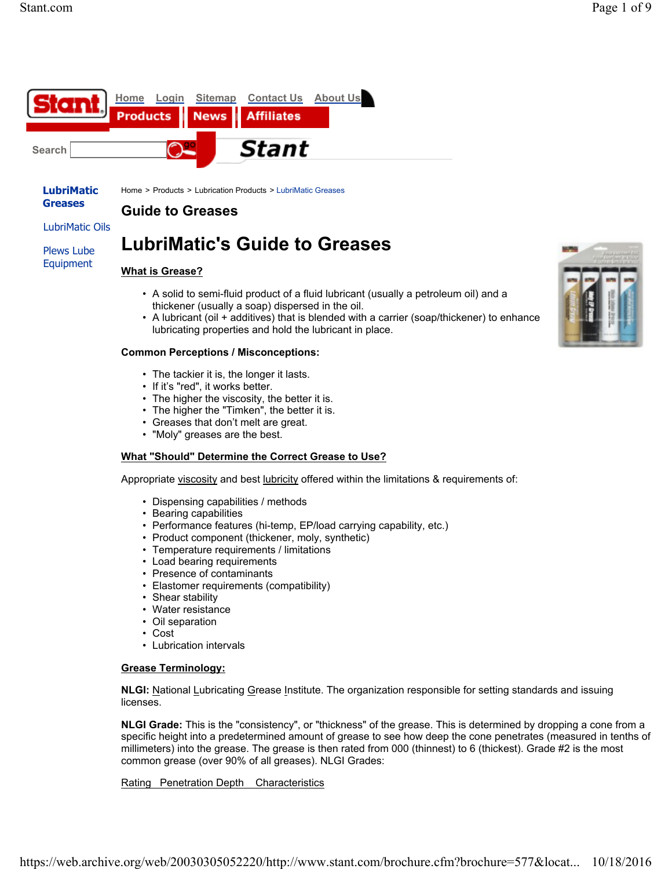



Home > Products > Lubrication Products > LubriMatic Greases

# **Guide to Greases**

LubriMatic Oils

Plews Lube Equipment

# **LubriMatic's Guide to Greases**

# **What is Grease?**

- A solid to semi-fluid product of a fluid lubricant (usually a petroleum oil) and a thickener (usually a soap) dispersed in the oil.
- A lubricant (oil + additives) that is blended with a carrier (soap/thickener) to enhance lubricating properties and hold the lubricant in place.

#### **Common Perceptions / Misconceptions:**

- The tackier it is, the longer it lasts.
- If it's "red", it works better.
- The higher the viscosity, the better it is.
- The higher the "Timken", the better it is.
- Greases that don't melt are great.
- "Moly" greases are the best.

# **What "Should" Determine the Correct Grease to Use?**

Appropriate viscosity and best lubricity offered within the limitations & requirements of:

- Dispensing capabilities / methods
- Bearing capabilities
- Performance features (hi-temp, EP/load carrying capability, etc.)
- Product component (thickener, moly, synthetic)
- Temperature requirements / limitations
- Load bearing requirements
- Presence of contaminants
- Elastomer requirements (compatibility)
- Shear stability
- Water resistance
- Oil separation
- Cost
- Lubrication intervals

# **Grease Terminology:**

**NLGI:** National Lubricating Grease Institute. The organization responsible for setting standards and issuing licenses.

**NLGI Grade:** This is the "consistency", or "thickness" of the grease. This is determined by dropping a cone from a specific height into a predetermined amount of grease to see how deep the cone penetrates (measured in tenths of millimeters) into the grease. The grease is then rated from 000 (thinnest) to 6 (thickest). Grade #2 is the most common grease (over 90% of all greases). NLGI Grades:

# Rating Penetration Depth Characteristics

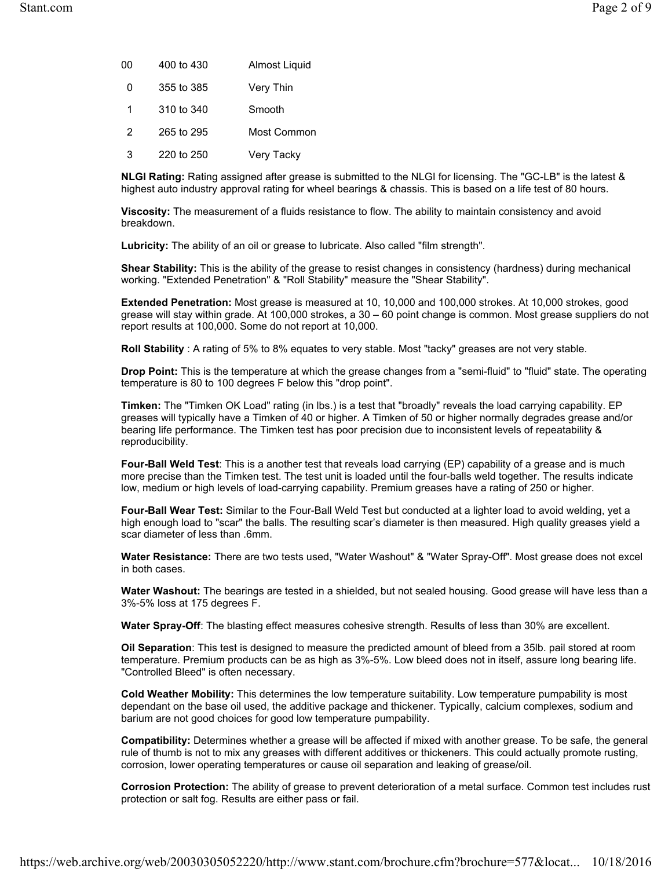| 00 | 400 to 430 | Almost Liquid |
|----|------------|---------------|
| 0  | 355 to 385 | Very Thin     |
| 1  | 310 to 340 | Smooth        |
| 2  | 265 to 295 | Most Common   |
| 3  | 220 to 250 | Very Tacky    |

**NLGI Rating:** Rating assigned after grease is submitted to the NLGI for licensing. The "GC-LB" is the latest & highest auto industry approval rating for wheel bearings & chassis. This is based on a life test of 80 hours.

**Viscosity:** The measurement of a fluids resistance to flow. The ability to maintain consistency and avoid breakdown.

**Lubricity:** The ability of an oil or grease to lubricate. Also called "film strength".

**Shear Stability:** This is the ability of the grease to resist changes in consistency (hardness) during mechanical working. "Extended Penetration" & "Roll Stability" measure the "Shear Stability".

**Extended Penetration:** Most grease is measured at 10, 10,000 and 100,000 strokes. At 10,000 strokes, good grease will stay within grade. At 100,000 strokes, a 30 – 60 point change is common. Most grease suppliers do not report results at 100,000. Some do not report at 10,000.

**Roll Stability** : A rating of 5% to 8% equates to very stable. Most "tacky" greases are not very stable.

**Drop Point:** This is the temperature at which the grease changes from a "semi-fluid" to "fluid" state. The operating temperature is 80 to 100 degrees F below this "drop point".

**Timken:** The "Timken OK Load" rating (in lbs.) is a test that "broadly" reveals the load carrying capability. EP greases will typically have a Timken of 40 or higher. A Timken of 50 or higher normally degrades grease and/or bearing life performance. The Timken test has poor precision due to inconsistent levels of repeatability & reproducibility.

**Four-Ball Weld Test**: This is a another test that reveals load carrying (EP) capability of a grease and is much more precise than the Timken test. The test unit is loaded until the four-balls weld together. The results indicate low, medium or high levels of load-carrying capability. Premium greases have a rating of 250 or higher.

**Four-Ball Wear Test:** Similar to the Four-Ball Weld Test but conducted at a lighter load to avoid welding, yet a high enough load to "scar" the balls. The resulting scar's diameter is then measured. High quality greases yield a scar diameter of less than .6mm.

**Water Resistance:** There are two tests used, "Water Washout" & "Water Spray-Off". Most grease does not excel in both cases.

**Water Washout:** The bearings are tested in a shielded, but not sealed housing. Good grease will have less than a 3%-5% loss at 175 degrees F.

**Water Spray-Off**: The blasting effect measures cohesive strength. Results of less than 30% are excellent.

**Oil Separation**: This test is designed to measure the predicted amount of bleed from a 35lb. pail stored at room temperature. Premium products can be as high as 3%-5%. Low bleed does not in itself, assure long bearing life. "Controlled Bleed" is often necessary.

**Cold Weather Mobility:** This determines the low temperature suitability. Low temperature pumpability is most dependant on the base oil used, the additive package and thickener. Typically, calcium complexes, sodium and barium are not good choices for good low temperature pumpability.

**Compatibility:** Determines whether a grease will be affected if mixed with another grease. To be safe, the general rule of thumb is not to mix any greases with different additives or thickeners. This could actually promote rusting, corrosion, lower operating temperatures or cause oil separation and leaking of grease/oil.

**Corrosion Protection:** The ability of grease to prevent deterioration of a metal surface. Common test includes rust protection or salt fog. Results are either pass or fail.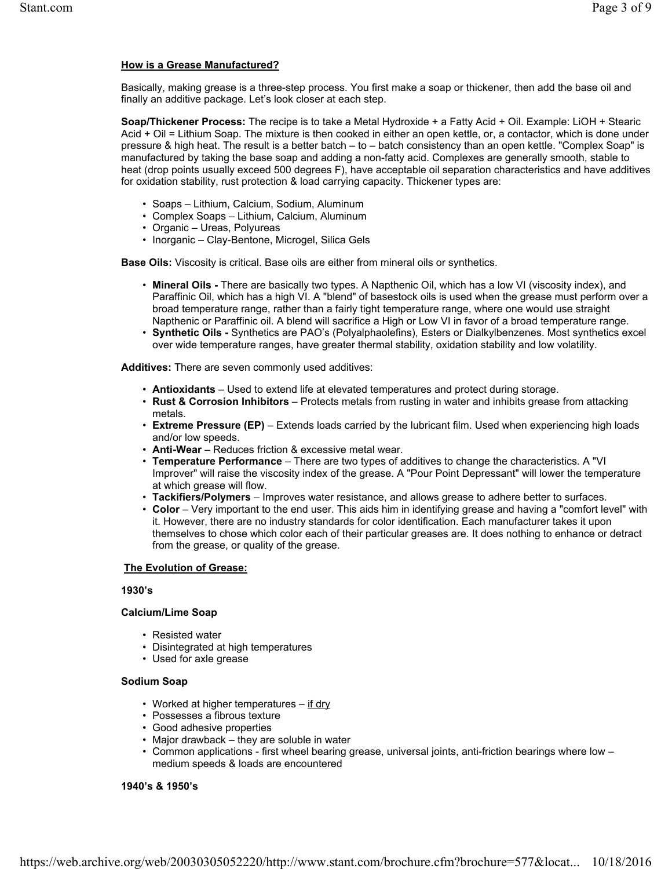# **How is a Grease Manufactured?**

Basically, making grease is a three-step process. You first make a soap or thickener, then add the base oil and finally an additive package. Let's look closer at each step.

**Soap/Thickener Process:** The recipe is to take a Metal Hydroxide + a Fatty Acid + Oil. Example: LiOH + Stearic Acid + Oil = Lithium Soap. The mixture is then cooked in either an open kettle, or, a contactor, which is done under pressure & high heat. The result is a better batch – to – batch consistency than an open kettle. "Complex Soap" is manufactured by taking the base soap and adding a non-fatty acid. Complexes are generally smooth, stable to heat (drop points usually exceed 500 degrees F), have acceptable oil separation characteristics and have additives for oxidation stability, rust protection & load carrying capacity. Thickener types are:

- Soaps Lithium, Calcium, Sodium, Aluminum
- Complex Soaps Lithium, Calcium, Aluminum
- Organic Ureas, Polyureas
- Inorganic Clay-Bentone, Microgel, Silica Gels

**Base Oils:** Viscosity is critical. Base oils are either from mineral oils or synthetics.

- **Mineral Oils** There are basically two types. A Napthenic Oil, which has a low VI (viscosity index), and Paraffinic Oil, which has a high VI. A "blend" of basestock oils is used when the grease must perform over a broad temperature range, rather than a fairly tight temperature range, where one would use straight Napthenic or Paraffinic oil. A blend will sacrifice a High or Low VI in favor of a broad temperature range.
- **Synthetic Oils** Synthetics are PAO's (Polyalphaolefins), Esters or Dialkylbenzenes. Most synthetics excel over wide temperature ranges, have greater thermal stability, oxidation stability and low volatility.

**Additives:** There are seven commonly used additives:

- **Antioxidants** Used to extend life at elevated temperatures and protect during storage.
- **Rust & Corrosion Inhibitors** Protects metals from rusting in water and inhibits grease from attacking metals.
- **Extreme Pressure (EP)** Extends loads carried by the lubricant film. Used when experiencing high loads and/or low speeds.
- **Anti-Wear** Reduces friction & excessive metal wear.
- **Temperature Performance** There are two types of additives to change the characteristics. A "VI
- Improver" will raise the viscosity index of the grease. A "Pour Point Depressant" will lower the temperature at which grease will flow.
- **Tackifiers/Polymers** Improves water resistance, and allows grease to adhere better to surfaces.
- **Color** Very important to the end user. This aids him in identifying grease and having a "comfort level" with it. However, there are no industry standards for color identification. Each manufacturer takes it upon themselves to chose which color each of their particular greases are. It does nothing to enhance or detract from the grease, or quality of the grease.

#### **The Evolution of Grease:**

#### **1930's**

#### **Calcium/Lime Soap**

- Resisted water
- Disintegrated at high temperatures
- Used for axle grease

#### **Sodium Soap**

- Worked at higher temperatures if dry
- Possesses a fibrous texture
- Good adhesive properties
- Major drawback they are soluble in water
- Common applications first wheel bearing grease, universal joints, anti-friction bearings where low medium speeds & loads are encountered

#### **1940's & 1950's**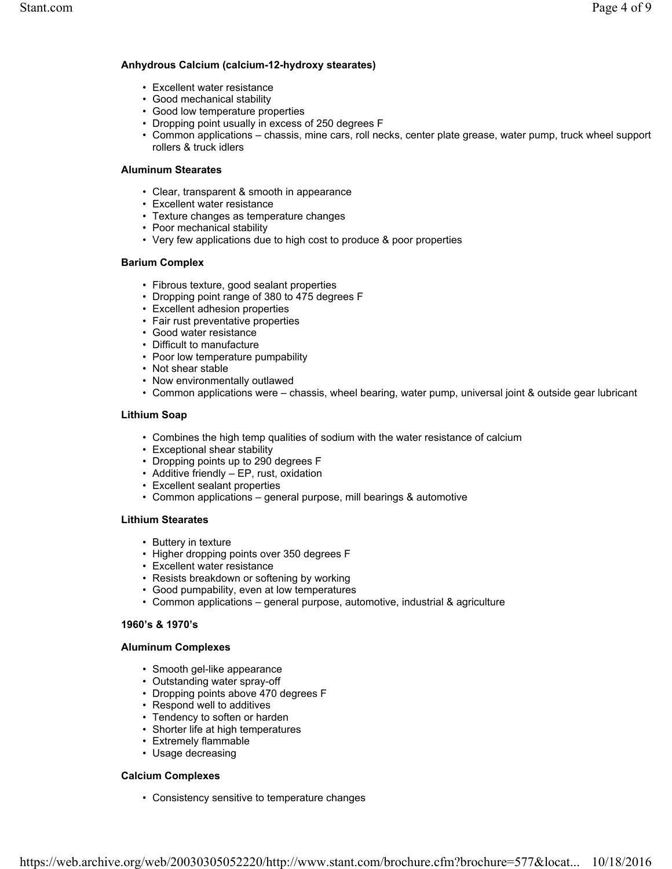# **Anhydrous Calcium (calcium-12-hydroxy stearates)**

- Excellent water resistance
- Good mechanical stability
- Good low temperature properties
- Dropping point usually in excess of 250 degrees F
- Common applications chassis, mine cars, roll necks, center plate grease, water pump, truck wheel support rollers & truck idlers

# **Aluminum Stearates**

- Clear, transparent & smooth in appearance
- Excellent water resistance
- Texture changes as temperature changes
- Poor mechanical stability
- Very few applications due to high cost to produce & poor properties

#### **Barium Complex**

- Fibrous texture, good sealant properties
- Dropping point range of 380 to 475 degrees F
- Excellent adhesion properties
- Fair rust preventative properties
- Good water resistance
- Difficult to manufacture
- Poor low temperature pumpability
- Not shear stable
- Now environmentally outlawed
- Common applications were chassis, wheel bearing, water pump, universal joint & outside gear lubricant

#### **Lithium Soap**

- Combines the high temp qualities of sodium with the water resistance of calcium
- Exceptional shear stability
- Dropping points up to 290 degrees F
- Additive friendly EP, rust, oxidation
- Excellent sealant properties
- Common applications general purpose, mill bearings & automotive

# **Lithium Stearates**

- Buttery in texture
- Higher dropping points over 350 degrees F
- Excellent water resistance
- Resists breakdown or softening by working
- Good pumpability, even at low temperatures
- Common applications general purpose, automotive, industrial & agriculture

# **1960's & 1970's**

#### **Aluminum Complexes**

- Smooth gel-like appearance
- Outstanding water spray-off
- Dropping points above 470 degrees F
- Respond well to additives
- Tendency to soften or harden
- Shorter life at high temperatures
- Extremely flammable
- Usage decreasing

# **Calcium Complexes**

• Consistency sensitive to temperature changes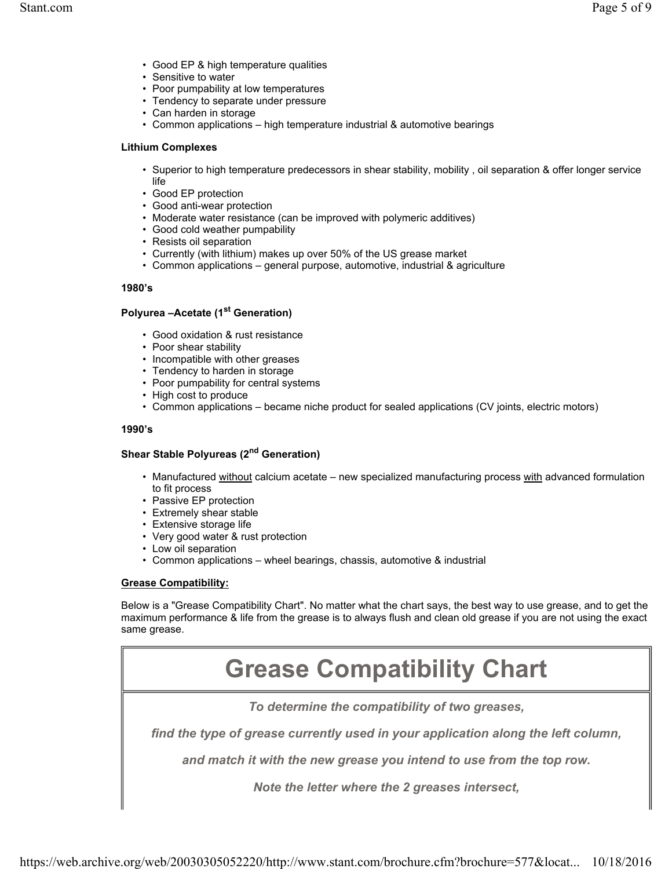- Good EP & high temperature qualities
- Sensitive to water
- Poor pumpability at low temperatures
- Tendency to separate under pressure
- Can harden in storage
- Common applications high temperature industrial & automotive bearings

#### **Lithium Complexes**

- Superior to high temperature predecessors in shear stability, mobility , oil separation & offer longer service life
- Good EP protection
- Good anti-wear protection
- Moderate water resistance (can be improved with polymeric additives)
- Good cold weather pumpability
- Resists oil separation
- Currently (with lithium) makes up over 50% of the US grease market
- Common applications general purpose, automotive, industrial & agriculture

#### **1980's**

# **Polyurea –Acetate (1st Generation)**

- Good oxidation & rust resistance
- Poor shear stability
- Incompatible with other greases
- Tendency to harden in storage
- Poor pumpability for central systems
- High cost to produce
- Common applications became niche product for sealed applications (CV joints, electric motors)

#### **1990's**

# **Shear Stable Polyureas (2nd Generation)**

- Manufactured without calcium acetate new specialized manufacturing process with advanced formulation to fit process
- Passive EP protection
- Extremely shear stable
- Extensive storage life
- Very good water & rust protection
- Low oil separation
- Common applications wheel bearings, chassis, automotive & industrial

# **Grease Compatibility:**

Below is a "Grease Compatibility Chart". No matter what the chart says, the best way to use grease, and to get the maximum performance & life from the grease is to always flush and clean old grease if you are not using the exact same grease.

# **Grease Compatibility Chart**

*To determine the compatibility of two greases,*

*find the type of grease currently used in your application along the left column,*

*and match it with the new grease you intend to use from the top row.*

*Note the letter where the 2 greases intersect,*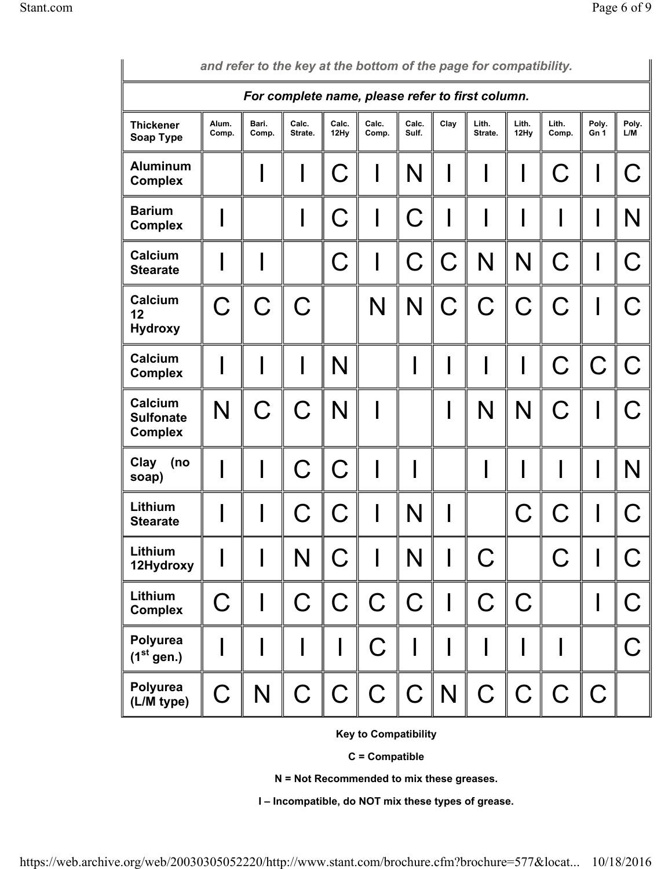| and refer to the key at the bottom of the page for compatibility. |                |                |                  |               |                |                |      |                  |               |                |               |              |
|-------------------------------------------------------------------|----------------|----------------|------------------|---------------|----------------|----------------|------|------------------|---------------|----------------|---------------|--------------|
| For complete name, please refer to first column.                  |                |                |                  |               |                |                |      |                  |               |                |               |              |
| <b>Thickener</b><br>Soap Type                                     | Alum.<br>Comp. | Bari.<br>Comp. | Calc.<br>Strate. | Calc.<br>12Hy | Calc.<br>Comp. | Calc.<br>Sulf. | Clay | Lith.<br>Strate. | Lith.<br>12Hy | Lith.<br>Comp. | Poly.<br>Gn 1 | Poly.<br>L/M |
| <b>Aluminum</b><br><b>Complex</b>                                 |                |                |                  | $\mathbf C$   |                | N              |      |                  |               | C              |               | $\bigcap$    |
| <b>Barium</b><br><b>Complex</b>                                   |                |                |                  | С             |                | C              |      |                  |               |                |               | N            |
| Calcium<br><b>Stearate</b>                                        |                |                |                  | C             |                | C              | C    | N                | N             | C              |               | C            |
| <b>Calcium</b><br>12<br><b>Hydroxy</b>                            | $\mathsf C$    | C              |                  |               | N              | N              | C    | C                | C             | C              |               |              |
| Calcium<br><b>Complex</b>                                         |                |                |                  | N             |                |                |      |                  |               | C              |               |              |
| Calcium<br><b>Sulfonate</b><br><b>Complex</b>                     | N              | C              | C                | N             |                |                |      | N                | N             |                |               |              |
| Clay<br>(no<br>soap)                                              |                |                |                  |               |                |                |      |                  |               |                |               | N            |
| Lithium<br><b>Stearate</b>                                        |                |                |                  | C             |                | N              |      |                  |               | <b>C.</b>      |               |              |
| Lithium<br>12Hydroxy                                              |                |                | N                | $\mathsf C$   |                | N              |      | $\mathsf C$      |               | C              |               | こ            |
| Lithium<br><b>Complex</b>                                         | $\mathsf C$    |                | $\mathsf C$      | $\mathsf C$   | $\mathsf C$    | $\mathsf C$    |      | $\mathsf C$      | $\mathsf C$   |                |               | C            |
| Polyurea<br>$(1st$ gen.)                                          |                |                |                  | $\mathsf I$   | $\mathsf C$    |                |      |                  |               |                |               | C            |
| Polyurea<br>(L/M type)                                            | $\mathsf C$    | N              | $\mathsf C$      | $\ C\ $       | $\mathsf C$    | $C \mid N$     |      | $\mathsf C$      | $\ C\ $       | $\mathsf C$    | $\mid$ C      |              |

**Key to Compatibility**

**C = Compatible**

**N = Not Recommended to mix these greases.**

**I – Incompatible, do NOT mix these types of grease.**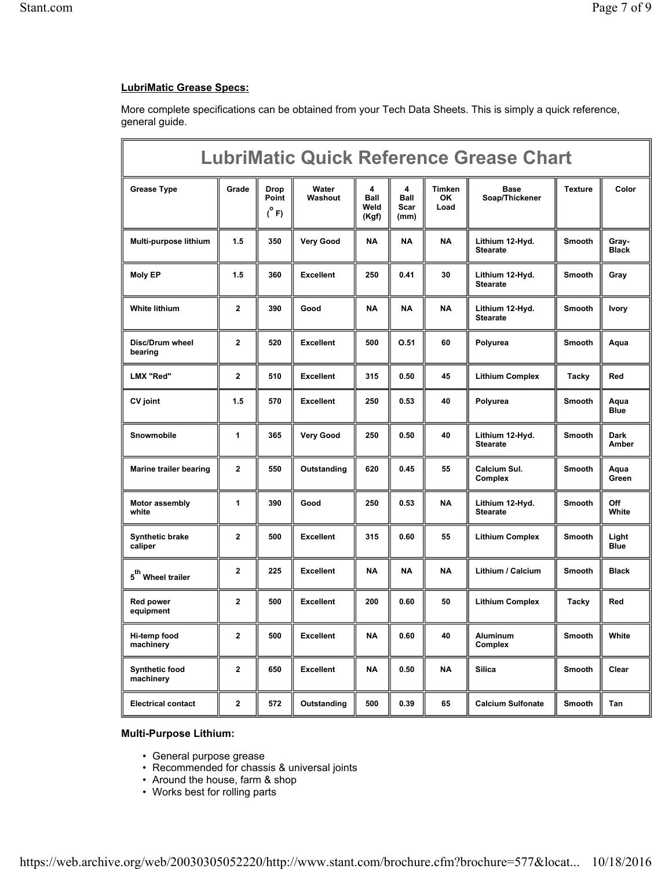# **LubriMatic Grease Specs:**

More complete specifications can be obtained from your Tech Data Sheets. This is simply a quick reference, general guide.

| <b>LubriMatic Quick Reference Grease Chart</b> |              |                               |                  |                            |                                  |                       |                                    |                |                             |
|------------------------------------------------|--------------|-------------------------------|------------------|----------------------------|----------------------------------|-----------------------|------------------------------------|----------------|-----------------------------|
| <b>Grease Type</b>                             | Grade        | Drop<br>Point<br>$(^\circ$ F) | Water<br>Washout | 4<br>Ball<br>Weld<br>(Kgf) | 4<br><b>Ball</b><br>Scar<br>(mm) | Timken<br>OK.<br>Load | <b>Base</b><br>Soap/Thickener      | <b>Texture</b> | Color                       |
| Multi-purpose lithium                          | 1.5          | 350                           | <b>Very Good</b> | NA                         | <b>NA</b>                        | <b>NA</b>             | Lithium 12-Hyd.<br><b>Stearate</b> | <b>Smooth</b>  | Gray-<br><b>Black</b>       |
| <b>Moly EP</b>                                 | 1.5          | 360                           | <b>Excellent</b> | 250                        | 0.41                             | 30                    | Lithium 12-Hyd.<br><b>Stearate</b> | <b>Smooth</b>  | Gray                        |
| <b>White lithium</b>                           | $\mathbf{2}$ | 390                           | Good             | NA                         | <b>NA</b>                        | <b>NA</b>             | Lithium 12-Hyd.<br><b>Stearate</b> | <b>Smooth</b>  | <b>Ivory</b>                |
| Disc/Drum wheel<br>bearing                     | $\mathbf{2}$ | 520                           | <b>Excellent</b> | 500                        | 0.51                             | 60                    | Polyurea                           | <b>Smooth</b>  | Aqua                        |
| LMX "Red"                                      | $\mathbf 2$  | 510                           | <b>Excellent</b> | 315                        | 0.50                             | 45                    | <b>Lithium Complex</b>             | Tacky          | Red                         |
| CV joint                                       | 1.5          | 570                           | <b>Excellent</b> | 250                        | 0.53                             | 40                    | Polyurea                           | <b>Smooth</b>  | Aqua<br><b>Blue</b>         |
| <b>Snowmobile</b>                              | 1            | 365                           | <b>Very Good</b> | 250                        | 0.50                             | 40                    | Lithium 12-Hyd.<br><b>Stearate</b> | <b>Smooth</b>  | <b>Dark</b><br><b>Amber</b> |
| <b>Marine trailer bearing</b>                  | $\mathbf{2}$ | 550                           | Outstanding      | 620                        | 0.45                             | 55                    | Calcium Sul.<br>Complex            | <b>Smooth</b>  | Aqua<br>Green               |
| Motor assembly<br>white                        | 1            | 390                           | Good             | 250                        | 0.53                             | <b>NA</b>             | Lithium 12-Hyd.<br><b>Stearate</b> | <b>Smooth</b>  | Off<br>White                |
| <b>Synthetic brake</b><br>caliper              | $\mathbf{2}$ | 500                           | <b>Excellent</b> | 315                        | 0.60                             | 55                    | <b>Lithium Complex</b>             | <b>Smooth</b>  | Light<br><b>Blue</b>        |
| 5 <sup>th</sup> Wheel trailer                  | $\mathbf{2}$ | 225                           | <b>Excellent</b> | <b>NA</b>                  | <b>NA</b>                        | <b>NA</b>             | Lithium / Calcium                  | <b>Smooth</b>  | <b>Black</b>                |
| <b>Red power</b><br>equipment                  | $\mathbf 2$  | 500                           | <b>Excellent</b> | 200                        | 0.60                             | 50                    | <b>Lithium Complex</b>             | Tacky          | Red                         |
| Hi-temp food<br>machinery                      | 2            | 500                           | Excellent        | NA                         | 0.60                             | 40                    | Aluminum<br>Complex                | Smooth         | White                       |
| <b>Synthetic food</b><br>machinery             | 2            | 650                           | <b>Excellent</b> | <b>NA</b>                  | 0.50                             | NA                    | <b>Silica</b>                      | Smooth         | Clear                       |
| <b>Electrical contact</b>                      | $\mathbf{2}$ | 572                           | Outstanding      | 500                        | 0.39                             | 65                    | <b>Calcium Sulfonate</b>           | Smooth         | Tan                         |

# **Multi-Purpose Lithium:**

- General purpose grease
- Recommended for chassis & universal joints
- Around the house, farm & shop
- Works best for rolling parts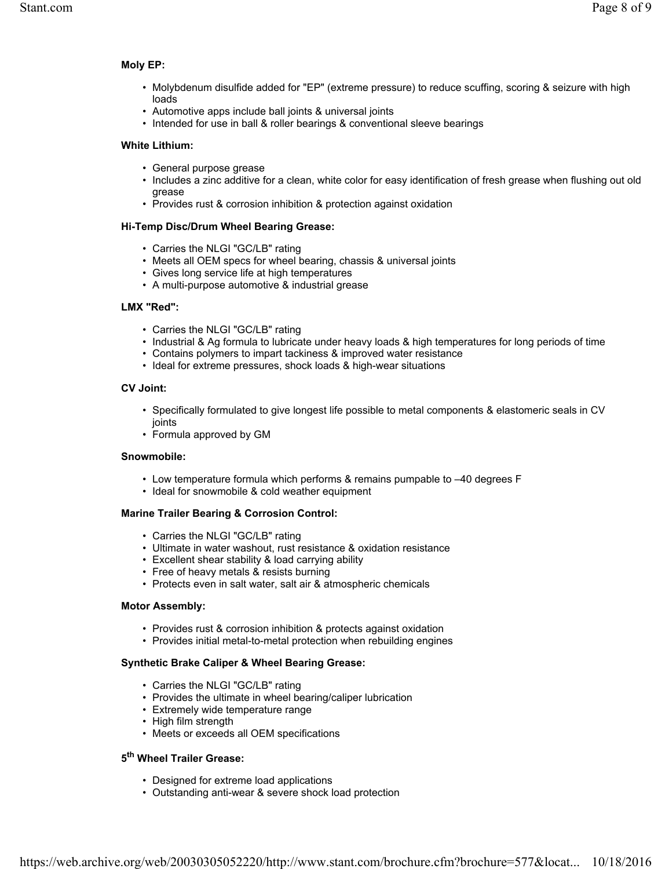#### **Moly EP:**

- Molybdenum disulfide added for "EP" (extreme pressure) to reduce scuffing, scoring & seizure with high loads
- Automotive apps include ball joints & universal joints
- Intended for use in ball & roller bearings & conventional sleeve bearings

#### **White Lithium:**

- General purpose grease
- Includes a zinc additive for a clean, white color for easy identification of fresh grease when flushing out old grease
- Provides rust & corrosion inhibition & protection against oxidation

#### **Hi-Temp Disc/Drum Wheel Bearing Grease:**

- Carries the NLGI "GC/LB" rating
- Meets all OEM specs for wheel bearing, chassis & universal joints
- Gives long service life at high temperatures
- A multi-purpose automotive & industrial grease

#### **LMX "Red":**

- Carries the NLGI "GC/LB" rating
- Industrial & Ag formula to lubricate under heavy loads & high temperatures for long periods of time
- Contains polymers to impart tackiness & improved water resistance
- Ideal for extreme pressures, shock loads & high-wear situations

#### **CV Joint:**

- Specifically formulated to give longest life possible to metal components & elastomeric seals in CV joints
- Formula approved by GM

#### **Snowmobile:**

- Low temperature formula which performs & remains pumpable to –40 degrees F
- Ideal for snowmobile & cold weather equipment

# **Marine Trailer Bearing & Corrosion Control:**

- Carries the NLGI "GC/LB" rating
- Ultimate in water washout, rust resistance & oxidation resistance
- Excellent shear stability & load carrying ability
- Free of heavy metals & resists burning
- Protects even in salt water, salt air & atmospheric chemicals

#### **Motor Assembly:**

- Provides rust & corrosion inhibition & protects against oxidation
- Provides initial metal-to-metal protection when rebuilding engines

# **Synthetic Brake Caliper & Wheel Bearing Grease:**

- Carries the NLGI "GC/LB" rating
- Provides the ultimate in wheel bearing/caliper lubrication
- Extremely wide temperature range
- High film strength
- Meets or exceeds all OEM specifications

# **5th Wheel Trailer Grease:**

- Designed for extreme load applications
- Outstanding anti-wear & severe shock load protection